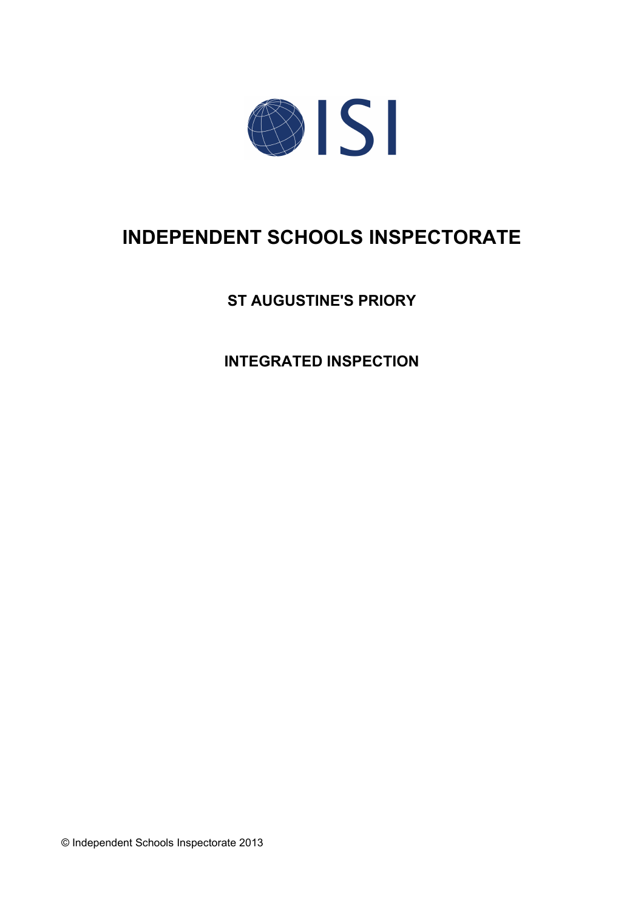

# **INDEPENDENT SCHOOLS INSPECTORATE**

**ST AUGUSTINE'S PRIORY**

**INTEGRATED INSPECTION**

© Independent Schools Inspectorate 2013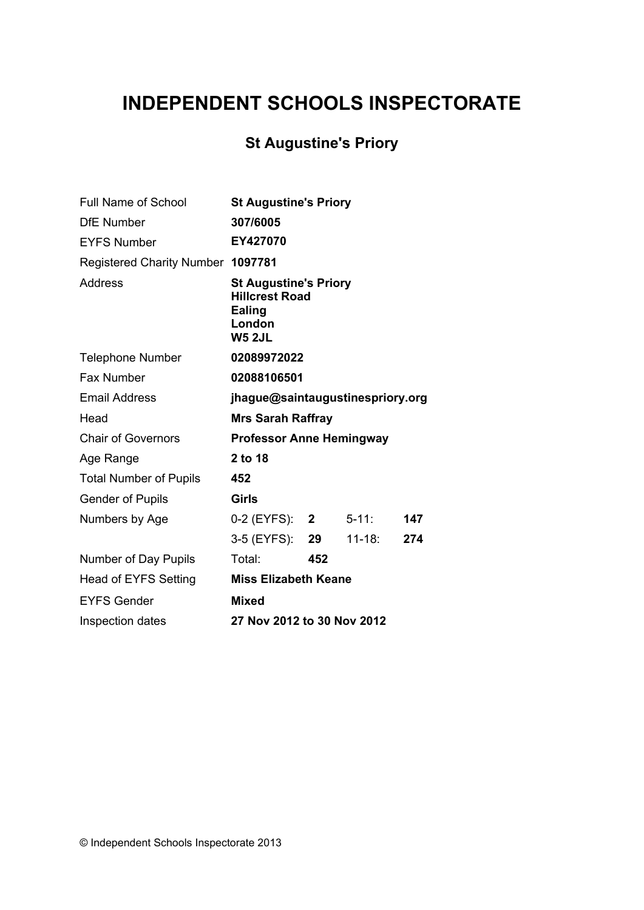# **INDEPENDENT SCHOOLS INSPECTORATE**

# **St Augustine's Priory**

| <b>Full Name of School</b>        | <b>St Augustine's Priory</b>                                                                      |     |            |     |
|-----------------------------------|---------------------------------------------------------------------------------------------------|-----|------------|-----|
| <b>DfE Number</b>                 | 307/6005                                                                                          |     |            |     |
| <b>EYFS Number</b>                | EY427070                                                                                          |     |            |     |
| Registered Charity Number 1097781 |                                                                                                   |     |            |     |
| Address                           | <b>St Augustine's Priory</b><br><b>Hillcrest Road</b><br><b>Ealing</b><br>London<br><b>W5 2JL</b> |     |            |     |
| <b>Telephone Number</b>           | 02089972022                                                                                       |     |            |     |
| Fax Number                        | 02088106501                                                                                       |     |            |     |
| <b>Email Address</b>              | jhague@saintaugustinespriory.org                                                                  |     |            |     |
| Head                              | <b>Mrs Sarah Raffray</b>                                                                          |     |            |     |
| <b>Chair of Governors</b>         | <b>Professor Anne Hemingway</b>                                                                   |     |            |     |
| Age Range                         | 2 to 18                                                                                           |     |            |     |
| <b>Total Number of Pupils</b>     | 452                                                                                               |     |            |     |
| <b>Gender of Pupils</b>           | <b>Girls</b>                                                                                      |     |            |     |
| Numbers by Age                    | 0-2 (EYFS): 2                                                                                     |     | $5 - 11$ : | 147 |
|                                   | 3-5 (EYFS): 29                                                                                    |     | $11-18:$   | 274 |
| Number of Day Pupils              | Total:                                                                                            | 452 |            |     |
| <b>Head of EYFS Setting</b>       | <b>Miss Elizabeth Keane</b>                                                                       |     |            |     |
| <b>EYFS Gender</b>                | <b>Mixed</b>                                                                                      |     |            |     |
| Inspection dates                  | 27 Nov 2012 to 30 Nov 2012                                                                        |     |            |     |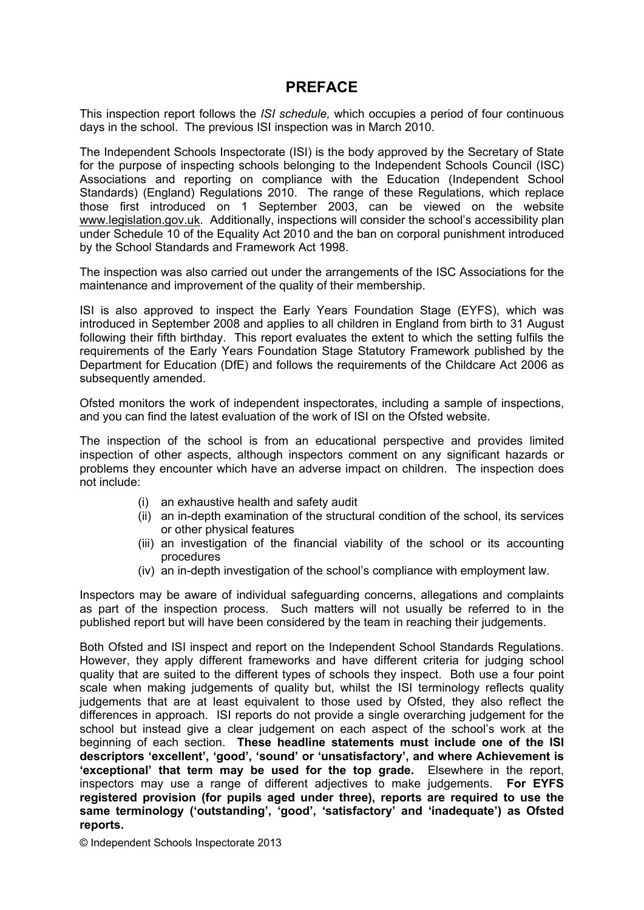## **PREFACE**

This inspection report follows the *ISI schedule,* which occupies a period of four continuous days in the school. The previous ISI inspection was in March 2010.

The Independent Schools Inspectorate (ISI) is the body approved by the Secretary of State for the purpose of inspecting schools belonging to the Independent Schools Council (ISC) Associations and reporting on compliance with the Education (Independent School Standards) (England) Regulations 2010. The range of these Regulations, which replace those first introduced on 1 September 2003, can be viewed on the website [www.legislation.gov.uk.](http://www.legislation.gov.uk) Additionally, inspections will consider the school's accessibility plan under Schedule 10 of the Equality Act 2010 and the ban on corporal punishment introduced by the School Standards and Framework Act 1998.

The inspection was also carried out under the arrangements of the ISC Associations for the maintenance and improvement of the quality of their membership.

ISI is also approved to inspect the Early Years Foundation Stage (EYFS), which was introduced in September 2008 and applies to all children in England from birth to 31 August following their fifth birthday. This report evaluates the extent to which the setting fulfils the requirements of the Early Years Foundation Stage Statutory Framework published by the Department for Education (DfE) and follows the requirements of the Childcare Act 2006 as subsequently amended.

Ofsted monitors the work of independent inspectorates, including a sample of inspections, and you can find the latest evaluation of the work of ISI on the Ofsted website.

The inspection of the school is from an educational perspective and provides limited inspection of other aspects, although inspectors comment on any significant hazards or problems they encounter which have an adverse impact on children. The inspection does not include:

- (i) an exhaustive health and safety audit
- (ii) an in-depth examination of the structural condition of the school, its services or other physical features
- (iii) an investigation of the financial viability of the school or its accounting procedures
- (iv) an in-depth investigation of the school's compliance with employment law.

Inspectors may be aware of individual safeguarding concerns, allegations and complaints as part of the inspection process. Such matters will not usually be referred to in the published report but will have been considered by the team in reaching their judgements.

Both Ofsted and ISI inspect and report on the Independent School Standards Regulations. However, they apply different frameworks and have different criteria for judging school quality that are suited to the different types of schools they inspect. Both use a four point scale when making judgements of quality but, whilst the ISI terminology reflects quality judgements that are at least equivalent to those used by Ofsted, they also reflect the differences in approach. ISI reports do not provide a single overarching judgement for the school but instead give a clear judgement on each aspect of the school's work at the beginning of each section. **These headline statements must include one of the ISI descriptors 'excellent', 'good', 'sound' or 'unsatisfactory', and where Achievement is 'exceptional' that term may be used for the top grade.** Elsewhere in the report, inspectors may use a range of different adjectives to make judgements. **For EYFS registered provision (for pupils aged under three), reports are required to use the same terminology ('outstanding', 'good', 'satisfactory' and 'inadequate') as Ofsted reports.**

© Independent Schools Inspectorate 2013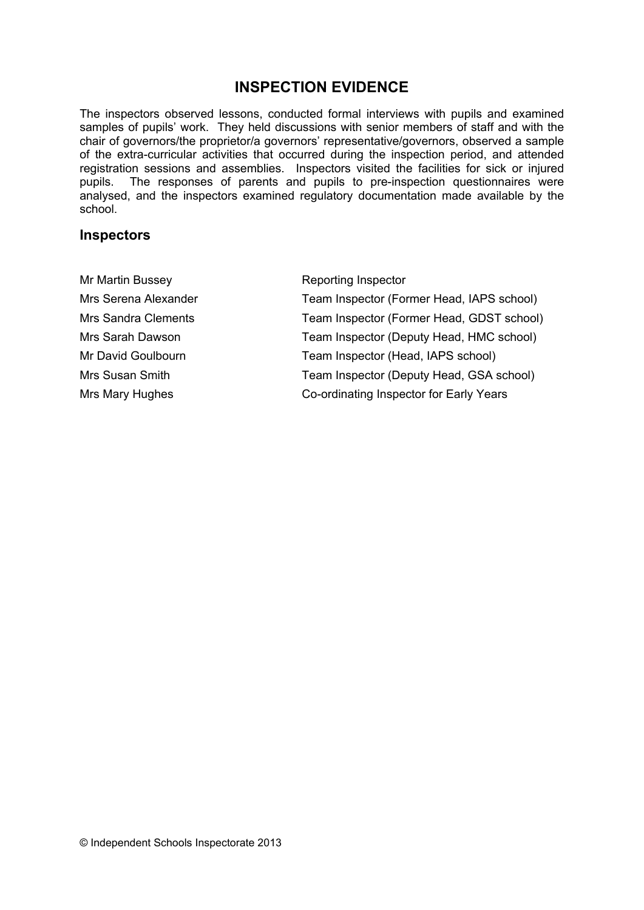# **INSPECTION EVIDENCE**

The inspectors observed lessons, conducted formal interviews with pupils and examined samples of pupils' work. They held discussions with senior members of staff and with the chair of governors/the proprietor/a governors' representative/governors, observed a sample of the extra-curricular activities that occurred during the inspection period, and attended registration sessions and assemblies. Inspectors visited the facilities for sick or injured pupils. The responses of parents and pupils to pre-inspection questionnaires were analysed, and the inspectors examined regulatory documentation made available by the school.

#### **Inspectors**

| Mr Martin Bussey           | Reporting Inspector                       |
|----------------------------|-------------------------------------------|
| Mrs Serena Alexander       | Team Inspector (Former Head, IAPS school) |
| <b>Mrs Sandra Clements</b> | Team Inspector (Former Head, GDST school) |
| Mrs Sarah Dawson           | Team Inspector (Deputy Head, HMC school)  |
| Mr David Goulbourn         | Team Inspector (Head, IAPS school)        |
| Mrs Susan Smith            | Team Inspector (Deputy Head, GSA school)  |
| Mrs Mary Hughes            | Co-ordinating Inspector for Early Years   |
|                            |                                           |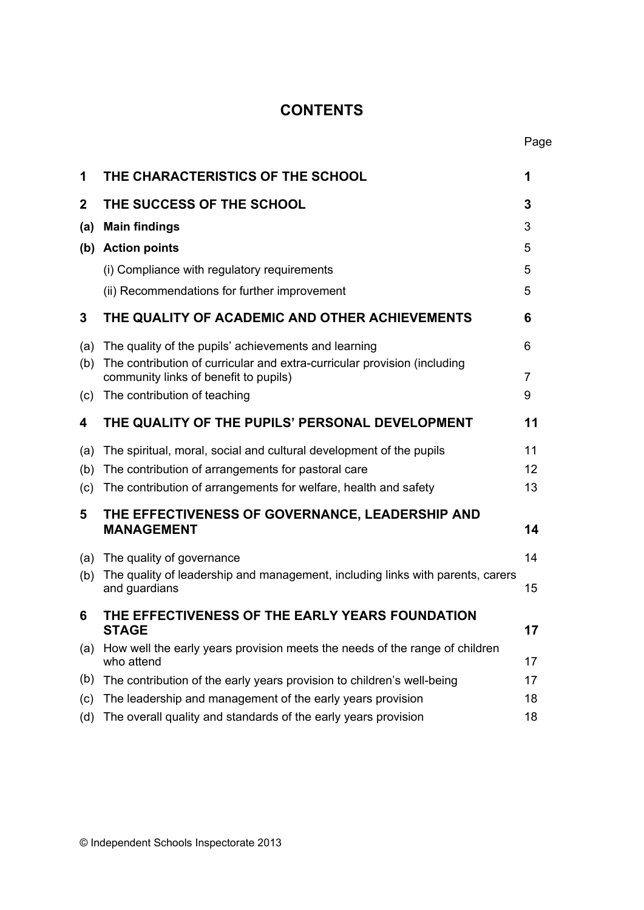# **CONTENTS**

| 1           | THE CHARACTERISTICS OF THE SCHOOL                                                                                 | 1  |
|-------------|-------------------------------------------------------------------------------------------------------------------|----|
| $\mathbf 2$ | THE SUCCESS OF THE SCHOOL                                                                                         | 3  |
| (a)         | <b>Main findings</b>                                                                                              | 3  |
|             | (b) Action points                                                                                                 | 5  |
|             | (i) Compliance with regulatory requirements                                                                       | 5  |
|             | (ii) Recommendations for further improvement                                                                      | 5  |
| 3           | THE QUALITY OF ACADEMIC AND OTHER ACHIEVEMENTS                                                                    | 6  |
| (a)         | The quality of the pupils' achievements and learning                                                              | 6  |
| (b)         | The contribution of curricular and extra-curricular provision (including<br>community links of benefit to pupils) | 7  |
| (c)         | The contribution of teaching                                                                                      | 9  |
| 4           | THE QUALITY OF THE PUPILS' PERSONAL DEVELOPMENT                                                                   | 11 |
| (a)         | The spiritual, moral, social and cultural development of the pupils                                               | 11 |
| (b)         | The contribution of arrangements for pastoral care                                                                | 12 |
| (c)         | The contribution of arrangements for welfare, health and safety                                                   | 13 |
| 5           | THE EFFECTIVENESS OF GOVERNANCE, LEADERSHIP AND<br><b>MANAGEMENT</b>                                              | 14 |
| (a)         | The quality of governance                                                                                         | 14 |
| (b)         | The quality of leadership and management, including links with parents, carers<br>and guardians                   | 15 |
| 6           | THE EFFECTIVENESS OF THE EARLY YEARS FOUNDATION<br><b>STAGE</b>                                                   | 17 |
| (a)         | How well the early years provision meets the needs of the range of children<br>who attend                         | 17 |
| (b)         | The contribution of the early years provision to children's well-being                                            | 17 |
| (c)         | The leadership and management of the early years provision                                                        | 18 |
| (d)         | The overall quality and standards of the early years provision                                                    | 18 |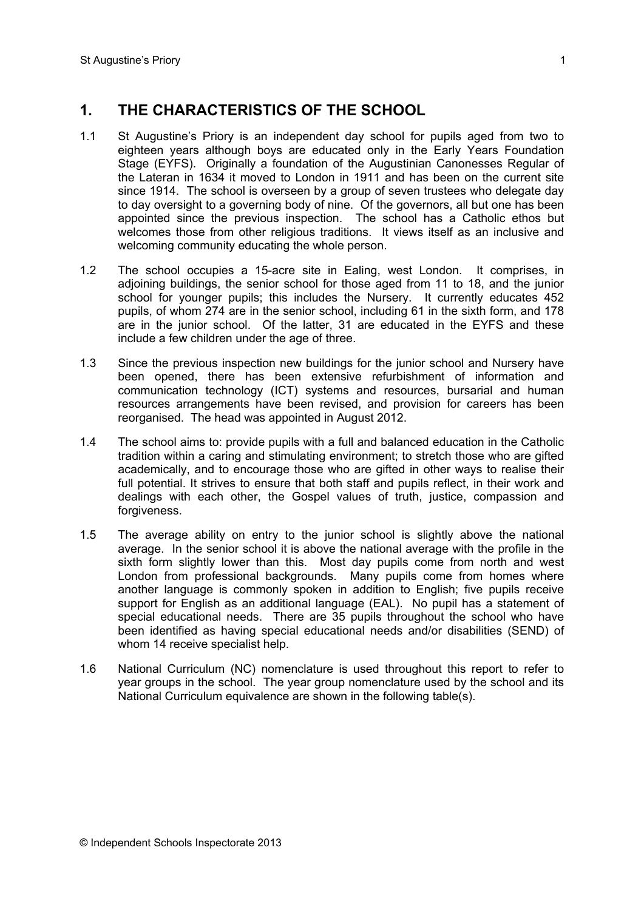# **1. THE CHARACTERISTICS OF THE SCHOOL**

- 1.1 St Augustine's Priory is an independent day school for pupils aged from two to eighteen years although boys are educated only in the Early Years Foundation Stage (EYFS). Originally a foundation of the Augustinian Canonesses Regular of the Lateran in 1634 it moved to London in 1911 and has been on the current site since 1914. The school is overseen by a group of seven trustees who delegate day to day oversight to a governing body of nine. Of the governors, all but one has been appointed since the previous inspection. The school has a Catholic ethos but welcomes those from other religious traditions. It views itself as an inclusive and welcoming community educating the whole person.
- 1.2 The school occupies a 15-acre site in Ealing, west London. It comprises, in adjoining buildings, the senior school for those aged from 11 to 18, and the junior school for younger pupils; this includes the Nursery. It currently educates 452 pupils, of whom 274 are in the senior school, including 61 in the sixth form, and 178 are in the junior school. Of the latter, 31 are educated in the EYFS and these include a few children under the age of three.
- 1.3 Since the previous inspection new buildings for the junior school and Nursery have been opened, there has been extensive refurbishment of information and communication technology (ICT) systems and resources, bursarial and human resources arrangements have been revised, and provision for careers has been reorganised. The head was appointed in August 2012.
- 1.4 The school aims to: provide pupils with a full and balanced education in the Catholic tradition within a caring and stimulating environment; to stretch those who are gifted academically, and to encourage those who are gifted in other ways to realise their full potential. It strives to ensure that both staff and pupils reflect, in their work and dealings with each other, the Gospel values of truth, justice, compassion and forgiveness.
- 1.5 The average ability on entry to the junior school is slightly above the national average. In the senior school it is above the national average with the profile in the sixth form slightly lower than this. Most day pupils come from north and west London from professional backgrounds. Many pupils come from homes where another language is commonly spoken in addition to English; five pupils receive support for English as an additional language (EAL). No pupil has a statement of special educational needs. There are 35 pupils throughout the school who have been identified as having special educational needs and/or disabilities (SEND) of whom 14 receive specialist help.
- 1.6 National Curriculum (NC) nomenclature is used throughout this report to refer to year groups in the school. The year group nomenclature used by the school and its National Curriculum equivalence are shown in the following table(s).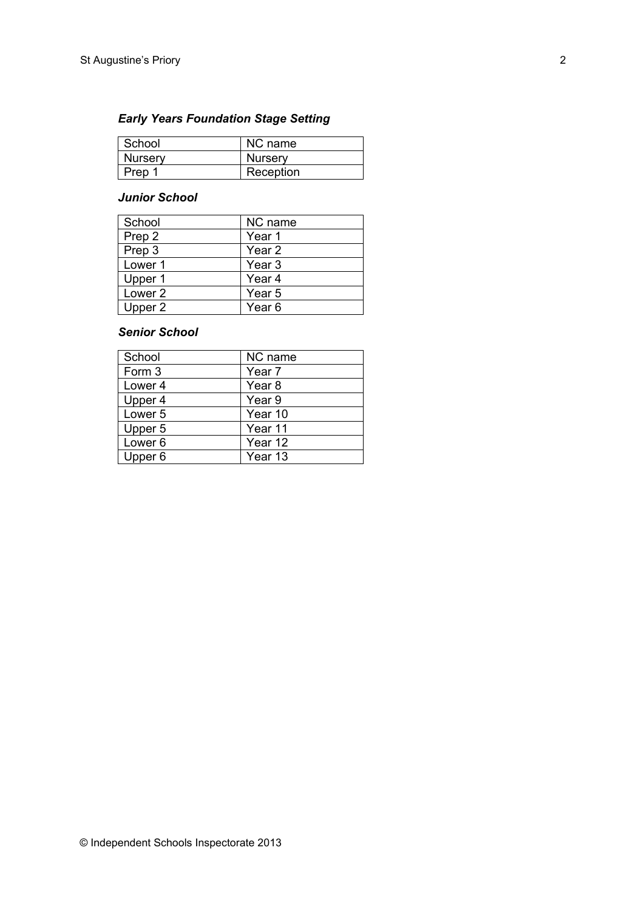## *Early Years Foundation Stage Setting*

| ∣ School       | NC name        |
|----------------|----------------|
| <b>Nursery</b> | <b>Nursery</b> |
| Prep 1         | Reception      |

#### *Junior School*

| School  | NC name           |  |
|---------|-------------------|--|
| Prep 2  | Year 1            |  |
| Prep 3  | Year 2            |  |
| Lower 1 | Year 3            |  |
| Upper 1 | Year <sub>4</sub> |  |
| Lower 2 | Year <sub>5</sub> |  |
| Upper 2 | Year <sub>6</sub> |  |

#### *Senior School*

| School             | NC name           |
|--------------------|-------------------|
| Form 3             | Year <sub>7</sub> |
| Lower <sub>4</sub> | Year 8            |
| Upper 4            | Year 9            |
| Lower <sub>5</sub> | Year 10           |
| Upper 5            | Year 11           |
| Lower <sub>6</sub> | Year 12           |
| Upper 6            | Year 13           |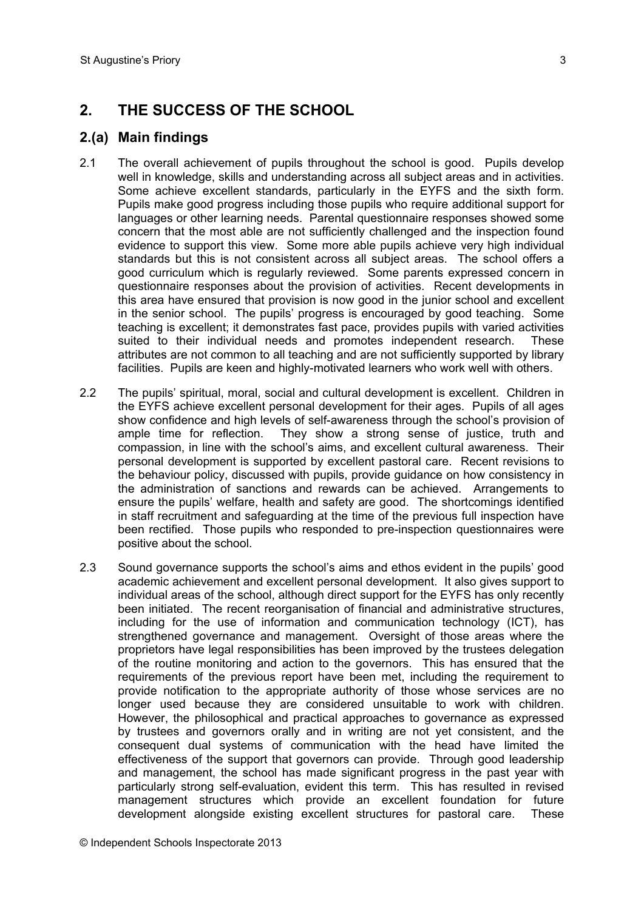# **2. THE SUCCESS OF THE SCHOOL**

### **2.(a) Main findings**

- 2.1 The overall achievement of pupils throughout the school is good. Pupils develop well in knowledge, skills and understanding across all subject areas and in activities. Some achieve excellent standards, particularly in the EYFS and the sixth form. Pupils make good progress including those pupils who require additional support for languages or other learning needs. Parental questionnaire responses showed some concern that the most able are not sufficiently challenged and the inspection found evidence to support this view. Some more able pupils achieve very high individual standards but this is not consistent across all subject areas. The school offers a good curriculum which is regularly reviewed. Some parents expressed concern in questionnaire responses about the provision of activities. Recent developments in this area have ensured that provision is now good in the junior school and excellent in the senior school. The pupils' progress is encouraged by good teaching. Some teaching is excellent; it demonstrates fast pace, provides pupils with varied activities suited to their individual needs and promotes independent research. These attributes are not common to all teaching and are not sufficiently supported by library facilities. Pupils are keen and highly-motivated learners who work well with others.
- 2.2 The pupils' spiritual, moral, social and cultural development is excellent. Children in the EYFS achieve excellent personal development for their ages. Pupils of all ages show confidence and high levels of self-awareness through the school's provision of ample time for reflection. They show a strong sense of justice, truth and compassion, in line with the school's aims, and excellent cultural awareness. Their personal development is supported by excellent pastoral care. Recent revisions to the behaviour policy, discussed with pupils, provide guidance on how consistency in the administration of sanctions and rewards can be achieved. Arrangements to ensure the pupils' welfare, health and safety are good. The shortcomings identified in staff recruitment and safeguarding at the time of the previous full inspection have been rectified. Those pupils who responded to pre-inspection questionnaires were positive about the school.
- 2.3 Sound governance supports the school's aims and ethos evident in the pupils' good academic achievement and excellent personal development. It also gives support to individual areas of the school, although direct support for the EYFS has only recently been initiated. The recent reorganisation of financial and administrative structures, including for the use of information and communication technology (ICT), has strengthened governance and management. Oversight of those areas where the proprietors have legal responsibilities has been improved by the trustees delegation of the routine monitoring and action to the governors. This has ensured that the requirements of the previous report have been met, including the requirement to provide notification to the appropriate authority of those whose services are no longer used because they are considered unsuitable to work with children. However, the philosophical and practical approaches to governance as expressed by trustees and governors orally and in writing are not yet consistent, and the consequent dual systems of communication with the head have limited the effectiveness of the support that governors can provide. Through good leadership and management, the school has made significant progress in the past year with particularly strong self-evaluation, evident this term. This has resulted in revised management structures which provide an excellent foundation for future development alongside existing excellent structures for pastoral care. These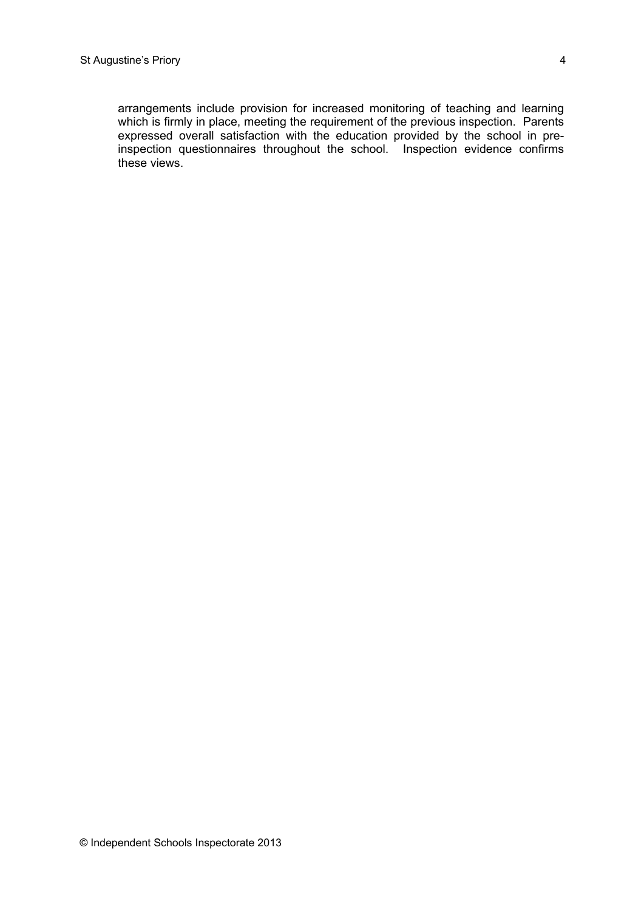arrangements include provision for increased monitoring of teaching and learning which is firmly in place, meeting the requirement of the previous inspection. Parents expressed overall satisfaction with the education provided by the school in preinspection questionnaires throughout the school. Inspection evidence confirms these views.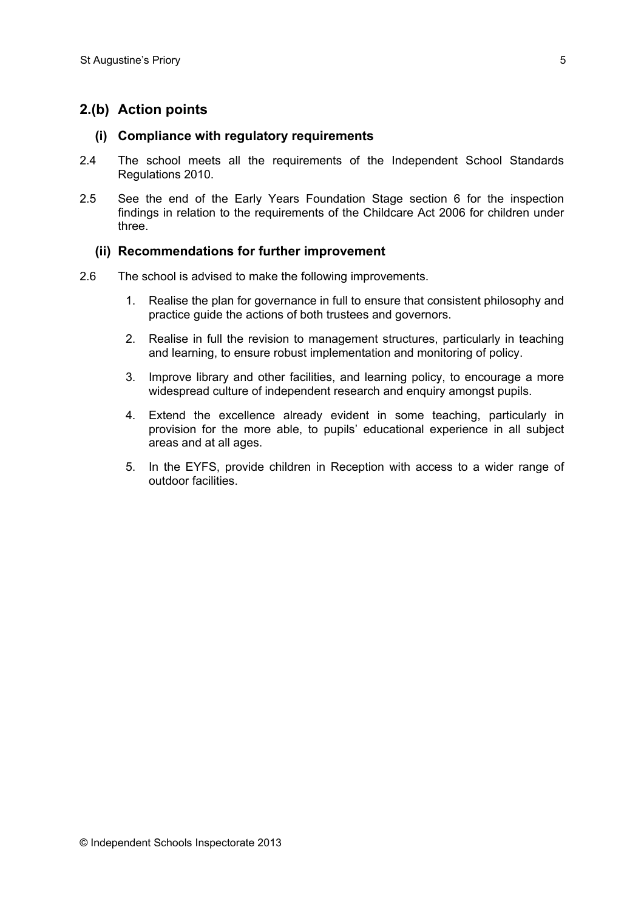## **2.(b) Action points**

#### **(i) Compliance with regulatory requirements**

- 2.4 The school meets all the requirements of the Independent School Standards Regulations 2010.
- 2.5 See the end of the Early Years Foundation Stage section 6 for the inspection findings in relation to the requirements of the Childcare Act 2006 for children under three.

#### **(ii) Recommendations for further improvement**

- 2.6 The school is advised to make the following improvements.
	- 1. Realise the plan for governance in full to ensure that consistent philosophy and practice guide the actions of both trustees and governors.
	- 2. Realise in full the revision to management structures, particularly in teaching and learning, to ensure robust implementation and monitoring of policy.
	- 3. Improve library and other facilities, and learning policy, to encourage a more widespread culture of independent research and enquiry amongst pupils.
	- 4. Extend the excellence already evident in some teaching, particularly in provision for the more able, to pupils' educational experience in all subject areas and at all ages.
	- 5. In the EYFS, provide children in Reception with access to a wider range of outdoor facilities.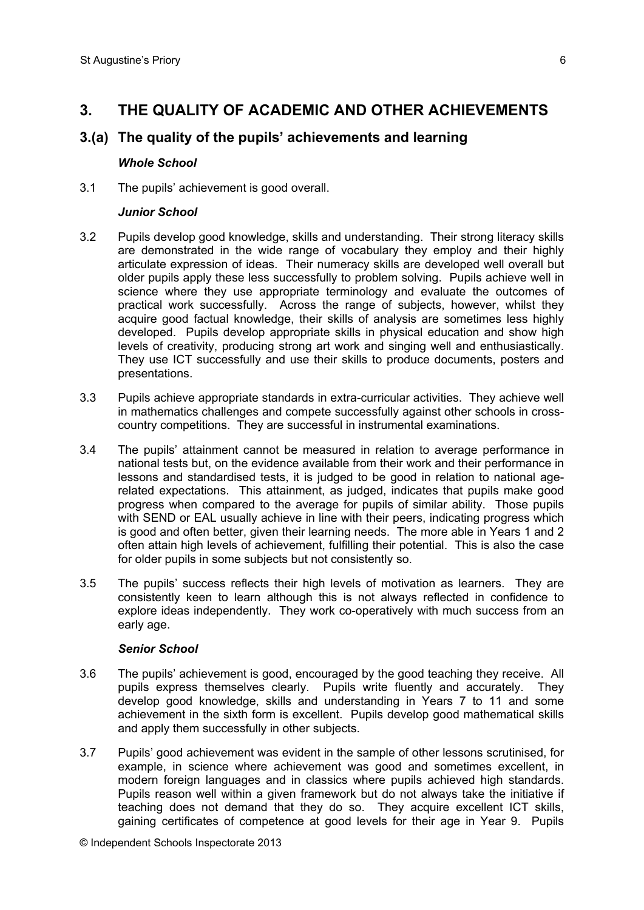## **3. THE QUALITY OF ACADEMIC AND OTHER ACHIEVEMENTS**

### **3.(a) The quality of the pupils' achievements and learning**

#### *Whole School*

3.1 The pupils' achievement is good overall.

#### *Junior School*

- 3.2 Pupils develop good knowledge, skills and understanding. Their strong literacy skills are demonstrated in the wide range of vocabulary they employ and their highly articulate expression of ideas. Their numeracy skills are developed well overall but older pupils apply these less successfully to problem solving. Pupils achieve well in science where they use appropriate terminology and evaluate the outcomes of practical work successfully. Across the range of subjects, however, whilst they acquire good factual knowledge, their skills of analysis are sometimes less highly developed. Pupils develop appropriate skills in physical education and show high levels of creativity, producing strong art work and singing well and enthusiastically. They use ICT successfully and use their skills to produce documents, posters and presentations.
- 3.3 Pupils achieve appropriate standards in extra-curricular activities. They achieve well in mathematics challenges and compete successfully against other schools in crosscountry competitions. They are successful in instrumental examinations.
- 3.4 The pupils' attainment cannot be measured in relation to average performance in national tests but, on the evidence available from their work and their performance in lessons and standardised tests, it is judged to be good in relation to national agerelated expectations. This attainment, as judged, indicates that pupils make good progress when compared to the average for pupils of similar ability. Those pupils with SEND or EAL usually achieve in line with their peers, indicating progress which is good and often better, given their learning needs. The more able in Years 1 and 2 often attain high levels of achievement, fulfilling their potential. This is also the case for older pupils in some subjects but not consistently so.
- 3.5 The pupils' success reflects their high levels of motivation as learners. They are consistently keen to learn although this is not always reflected in confidence to explore ideas independently. They work co-operatively with much success from an early age.

#### *Senior School*

- 3.6 The pupils' achievement is good, encouraged by the good teaching they receive. All pupils express themselves clearly. Pupils write fluently and accurately. They develop good knowledge, skills and understanding in Years 7 to 11 and some achievement in the sixth form is excellent. Pupils develop good mathematical skills and apply them successfully in other subjects.
- 3.7 Pupils' good achievement was evident in the sample of other lessons scrutinised, for example, in science where achievement was good and sometimes excellent, in modern foreign languages and in classics where pupils achieved high standards. Pupils reason well within a given framework but do not always take the initiative if teaching does not demand that they do so. They acquire excellent ICT skills, gaining certificates of competence at good levels for their age in Year 9. Pupils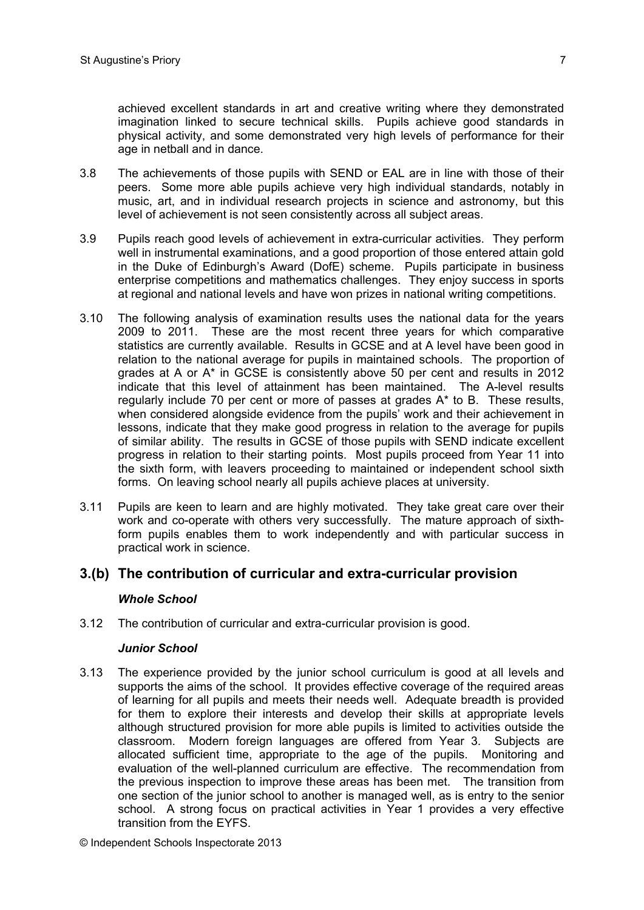achieved excellent standards in art and creative writing where they demonstrated imagination linked to secure technical skills. Pupils achieve good standards in physical activity, and some demonstrated very high levels of performance for their age in netball and in dance.

- 3.8 The achievements of those pupils with SEND or EAL are in line with those of their peers. Some more able pupils achieve very high individual standards, notably in music, art, and in individual research projects in science and astronomy, but this level of achievement is not seen consistently across all subject areas.
- 3.9 Pupils reach good levels of achievement in extra-curricular activities. They perform well in instrumental examinations, and a good proportion of those entered attain gold in the Duke of Edinburgh's Award (DofE) scheme. Pupils participate in business enterprise competitions and mathematics challenges. They enjoy success in sports at regional and national levels and have won prizes in national writing competitions.
- 3.10 The following analysis of examination results uses the national data for the years 2009 to 2011. These are the most recent three years for which comparative statistics are currently available. Results in GCSE and at A level have been good in relation to the national average for pupils in maintained schools. The proportion of grades at A or A\* in GCSE is consistently above 50 per cent and results in 2012 indicate that this level of attainment has been maintained. The A-level results regularly include 70 per cent or more of passes at grades A\* to B. These results, when considered alongside evidence from the pupils' work and their achievement in lessons, indicate that they make good progress in relation to the average for pupils of similar ability. The results in GCSE of those pupils with SEND indicate excellent progress in relation to their starting points. Most pupils proceed from Year 11 into the sixth form, with leavers proceeding to maintained or independent school sixth forms. On leaving school nearly all pupils achieve places at university.
- 3.11 Pupils are keen to learn and are highly motivated. They take great care over their work and co-operate with others very successfully. The mature approach of sixthform pupils enables them to work independently and with particular success in practical work in science.

#### **3.(b) The contribution of curricular and extra-curricular provision**

#### *Whole School*

3.12 The contribution of curricular and extra-curricular provision is good.

#### *Junior School*

3.13 The experience provided by the junior school curriculum is good at all levels and supports the aims of the school. It provides effective coverage of the required areas of learning for all pupils and meets their needs well. Adequate breadth is provided for them to explore their interests and develop their skills at appropriate levels although structured provision for more able pupils is limited to activities outside the classroom. Modern foreign languages are offered from Year 3. Subjects are allocated sufficient time, appropriate to the age of the pupils. Monitoring and evaluation of the well-planned curriculum are effective. The recommendation from the previous inspection to improve these areas has been met. The transition from one section of the junior school to another is managed well, as is entry to the senior school. A strong focus on practical activities in Year 1 provides a very effective transition from the EYFS.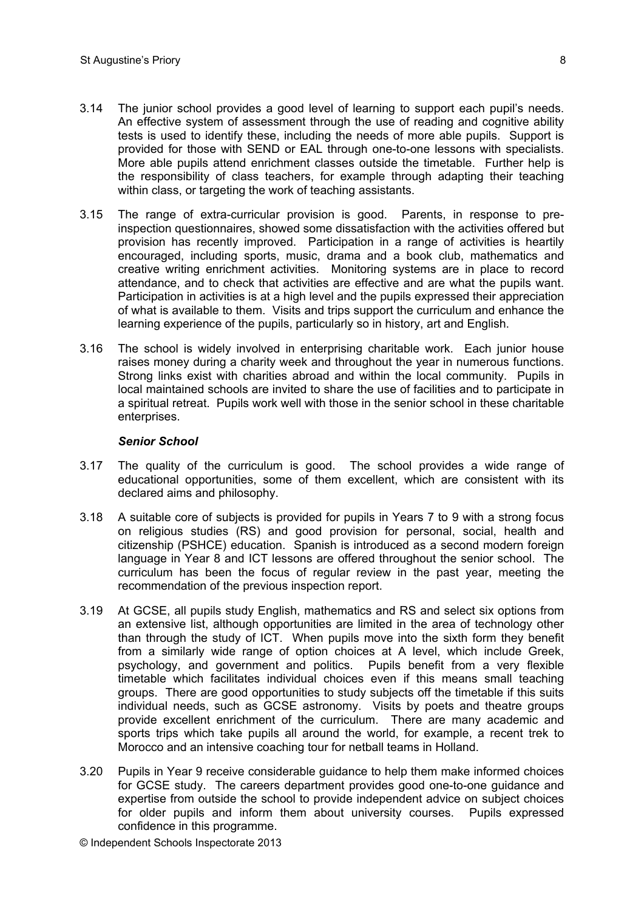- 3.14 The junior school provides a good level of learning to support each pupil's needs. An effective system of assessment through the use of reading and cognitive ability tests is used to identify these, including the needs of more able pupils. Support is provided for those with SEND or EAL through one-to-one lessons with specialists. More able pupils attend enrichment classes outside the timetable. Further help is the responsibility of class teachers, for example through adapting their teaching within class, or targeting the work of teaching assistants.
- 3.15 The range of extra-curricular provision is good. Parents, in response to preinspection questionnaires, showed some dissatisfaction with the activities offered but provision has recently improved. Participation in a range of activities is heartily encouraged, including sports, music, drama and a book club, mathematics and creative writing enrichment activities. Monitoring systems are in place to record attendance, and to check that activities are effective and are what the pupils want. Participation in activities is at a high level and the pupils expressed their appreciation of what is available to them. Visits and trips support the curriculum and enhance the learning experience of the pupils, particularly so in history, art and English.
- 3.16 The school is widely involved in enterprising charitable work. Each junior house raises money during a charity week and throughout the year in numerous functions. Strong links exist with charities abroad and within the local community. Pupils in local maintained schools are invited to share the use of facilities and to participate in a spiritual retreat. Pupils work well with those in the senior school in these charitable enterprises.

#### *Senior School*

- 3.17 The quality of the curriculum is good. The school provides a wide range of educational opportunities, some of them excellent, which are consistent with its declared aims and philosophy.
- 3.18 A suitable core of subjects is provided for pupils in Years 7 to 9 with a strong focus on religious studies (RS) and good provision for personal, social, health and citizenship (PSHCE) education. Spanish is introduced as a second modern foreign language in Year 8 and ICT lessons are offered throughout the senior school. The curriculum has been the focus of regular review in the past year, meeting the recommendation of the previous inspection report.
- 3.19 At GCSE, all pupils study English, mathematics and RS and select six options from an extensive list, although opportunities are limited in the area of technology other than through the study of ICT. When pupils move into the sixth form they benefit from a similarly wide range of option choices at A level, which include Greek, psychology, and government and politics. Pupils benefit from a very flexible timetable which facilitates individual choices even if this means small teaching groups. There are good opportunities to study subjects off the timetable if this suits individual needs, such as GCSE astronomy. Visits by poets and theatre groups provide excellent enrichment of the curriculum. There are many academic and sports trips which take pupils all around the world, for example, a recent trek to Morocco and an intensive coaching tour for netball teams in Holland.
- 3.20 Pupils in Year 9 receive considerable guidance to help them make informed choices for GCSE study. The careers department provides good one-to-one guidance and expertise from outside the school to provide independent advice on subject choices for older pupils and inform them about university courses. Pupils expressed confidence in this programme.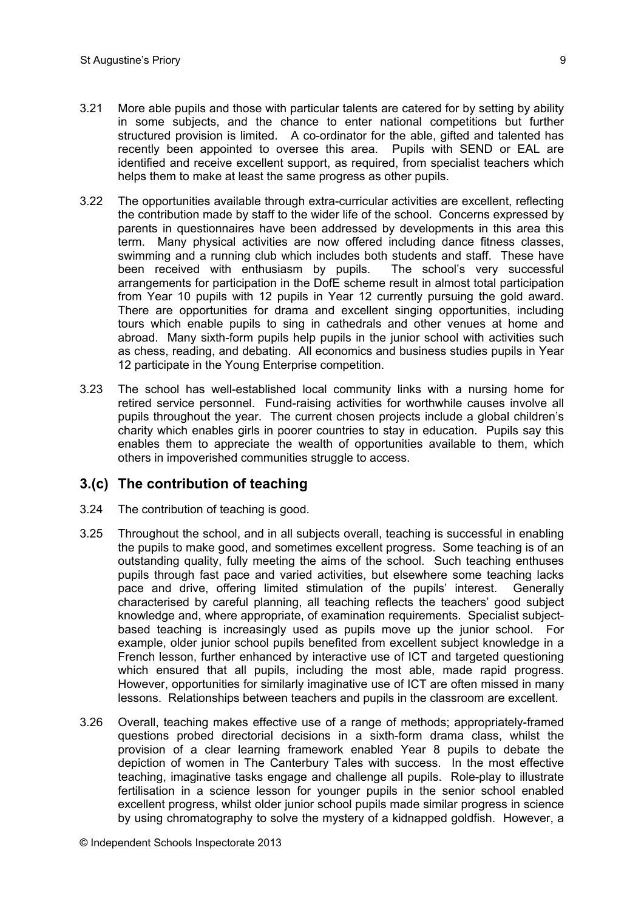- 3.21 More able pupils and those with particular talents are catered for by setting by ability in some subjects, and the chance to enter national competitions but further structured provision is limited. A co-ordinator for the able, gifted and talented has recently been appointed to oversee this area. Pupils with SEND or EAL are identified and receive excellent support, as required, from specialist teachers which helps them to make at least the same progress as other pupils.
- 3.22 The opportunities available through extra-curricular activities are excellent, reflecting the contribution made by staff to the wider life of the school. Concerns expressed by parents in questionnaires have been addressed by developments in this area this term. Many physical activities are now offered including dance fitness classes, swimming and a running club which includes both students and staff. These have been received with enthusiasm by pupils. The school's very successful arrangements for participation in the DofE scheme result in almost total participation from Year 10 pupils with 12 pupils in Year 12 currently pursuing the gold award. There are opportunities for drama and excellent singing opportunities, including tours which enable pupils to sing in cathedrals and other venues at home and abroad. Many sixth-form pupils help pupils in the junior school with activities such as chess, reading, and debating. All economics and business studies pupils in Year 12 participate in the Young Enterprise competition.
- 3.23 The school has well-established local community links with a nursing home for retired service personnel. Fund-raising activities for worthwhile causes involve all pupils throughout the year. The current chosen projects include a global children's charity which enables girls in poorer countries to stay in education. Pupils say this enables them to appreciate the wealth of opportunities available to them, which others in impoverished communities struggle to access.

#### **3.(c) The contribution of teaching**

- 3.24 The contribution of teaching is good.
- 3.25 Throughout the school, and in all subjects overall, teaching is successful in enabling the pupils to make good, and sometimes excellent progress. Some teaching is of an outstanding quality, fully meeting the aims of the school. Such teaching enthuses pupils through fast pace and varied activities, but elsewhere some teaching lacks pace and drive, offering limited stimulation of the pupils' interest. Generally characterised by careful planning, all teaching reflects the teachers' good subject knowledge and, where appropriate, of examination requirements. Specialist subjectbased teaching is increasingly used as pupils move up the junior school. For example, older junior school pupils benefited from excellent subject knowledge in a French lesson, further enhanced by interactive use of ICT and targeted questioning which ensured that all pupils, including the most able, made rapid progress. However, opportunities for similarly imaginative use of ICT are often missed in many lessons. Relationships between teachers and pupils in the classroom are excellent.
- 3.26 Overall, teaching makes effective use of a range of methods; appropriately-framed questions probed directorial decisions in a sixth-form drama class, whilst the provision of a clear learning framework enabled Year 8 pupils to debate the depiction of women in The Canterbury Tales with success. In the most effective teaching, imaginative tasks engage and challenge all pupils. Role-play to illustrate fertilisation in a science lesson for younger pupils in the senior school enabled excellent progress, whilst older junior school pupils made similar progress in science by using chromatography to solve the mystery of a kidnapped goldfish. However, a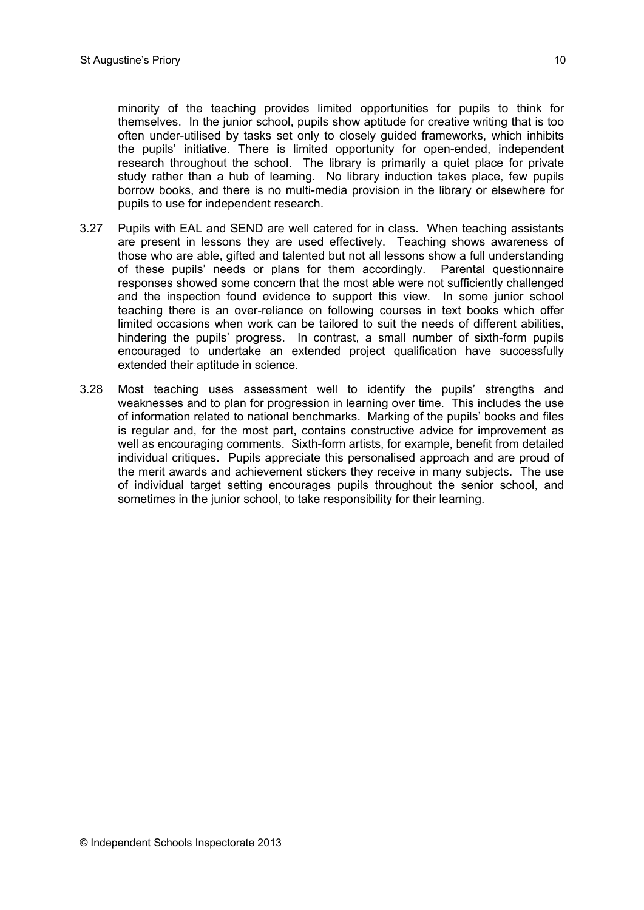minority of the teaching provides limited opportunities for pupils to think for themselves. In the junior school, pupils show aptitude for creative writing that is too often under-utilised by tasks set only to closely guided frameworks, which inhibits the pupils' initiative. There is limited opportunity for open-ended, independent research throughout the school. The library is primarily a quiet place for private study rather than a hub of learning. No library induction takes place, few pupils borrow books, and there is no multi-media provision in the library or elsewhere for pupils to use for independent research.

- 3.27 Pupils with EAL and SEND are well catered for in class. When teaching assistants are present in lessons they are used effectively. Teaching shows awareness of those who are able, gifted and talented but not all lessons show a full understanding of these pupils' needs or plans for them accordingly. Parental questionnaire responses showed some concern that the most able were not sufficiently challenged and the inspection found evidence to support this view. In some junior school teaching there is an over-reliance on following courses in text books which offer limited occasions when work can be tailored to suit the needs of different abilities, hindering the pupils' progress. In contrast, a small number of sixth-form pupils encouraged to undertake an extended project qualification have successfully extended their aptitude in science.
- 3.28 Most teaching uses assessment well to identify the pupils' strengths and weaknesses and to plan for progression in learning over time. This includes the use of information related to national benchmarks. Marking of the pupils' books and files is regular and, for the most part, contains constructive advice for improvement as well as encouraging comments. Sixth-form artists, for example, benefit from detailed individual critiques. Pupils appreciate this personalised approach and are proud of the merit awards and achievement stickers they receive in many subjects. The use of individual target setting encourages pupils throughout the senior school, and sometimes in the junior school, to take responsibility for their learning.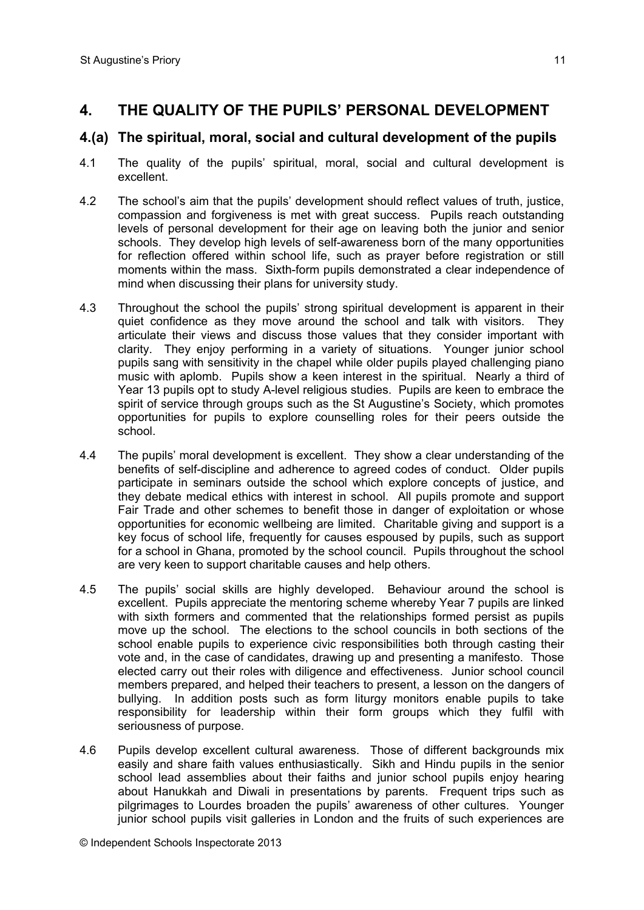# **4. THE QUALITY OF THE PUPILS' PERSONAL DEVELOPMENT**

## **4.(a) The spiritual, moral, social and cultural development of the pupils**

- 4.1 The quality of the pupils' spiritual, moral, social and cultural development is excellent.
- 4.2 The school's aim that the pupils' development should reflect values of truth, justice, compassion and forgiveness is met with great success. Pupils reach outstanding levels of personal development for their age on leaving both the junior and senior schools. They develop high levels of self-awareness born of the many opportunities for reflection offered within school life, such as prayer before registration or still moments within the mass. Sixth-form pupils demonstrated a clear independence of mind when discussing their plans for university study.
- 4.3 Throughout the school the pupils' strong spiritual development is apparent in their quiet confidence as they move around the school and talk with visitors. They articulate their views and discuss those values that they consider important with clarity. They enjoy performing in a variety of situations. Younger junior school pupils sang with sensitivity in the chapel while older pupils played challenging piano music with aplomb. Pupils show a keen interest in the spiritual. Nearly a third of Year 13 pupils opt to study A-level religious studies. Pupils are keen to embrace the spirit of service through groups such as the St Augustine's Society, which promotes opportunities for pupils to explore counselling roles for their peers outside the school.
- 4.4 The pupils' moral development is excellent. They show a clear understanding of the benefits of self-discipline and adherence to agreed codes of conduct. Older pupils participate in seminars outside the school which explore concepts of justice, and they debate medical ethics with interest in school. All pupils promote and support Fair Trade and other schemes to benefit those in danger of exploitation or whose opportunities for economic wellbeing are limited. Charitable giving and support is a key focus of school life, frequently for causes espoused by pupils, such as support for a school in Ghana, promoted by the school council. Pupils throughout the school are very keen to support charitable causes and help others.
- 4.5 The pupils' social skills are highly developed. Behaviour around the school is excellent. Pupils appreciate the mentoring scheme whereby Year 7 pupils are linked with sixth formers and commented that the relationships formed persist as pupils move up the school. The elections to the school councils in both sections of the school enable pupils to experience civic responsibilities both through casting their vote and, in the case of candidates, drawing up and presenting a manifesto. Those elected carry out their roles with diligence and effectiveness. Junior school council members prepared, and helped their teachers to present, a lesson on the dangers of bullying. In addition posts such as form liturgy monitors enable pupils to take responsibility for leadership within their form groups which they fulfil with seriousness of purpose.
- 4.6 Pupils develop excellent cultural awareness. Those of different backgrounds mix easily and share faith values enthusiastically. Sikh and Hindu pupils in the senior school lead assemblies about their faiths and junior school pupils enjoy hearing about Hanukkah and Diwali in presentations by parents. Frequent trips such as pilgrimages to Lourdes broaden the pupils' awareness of other cultures. Younger junior school pupils visit galleries in London and the fruits of such experiences are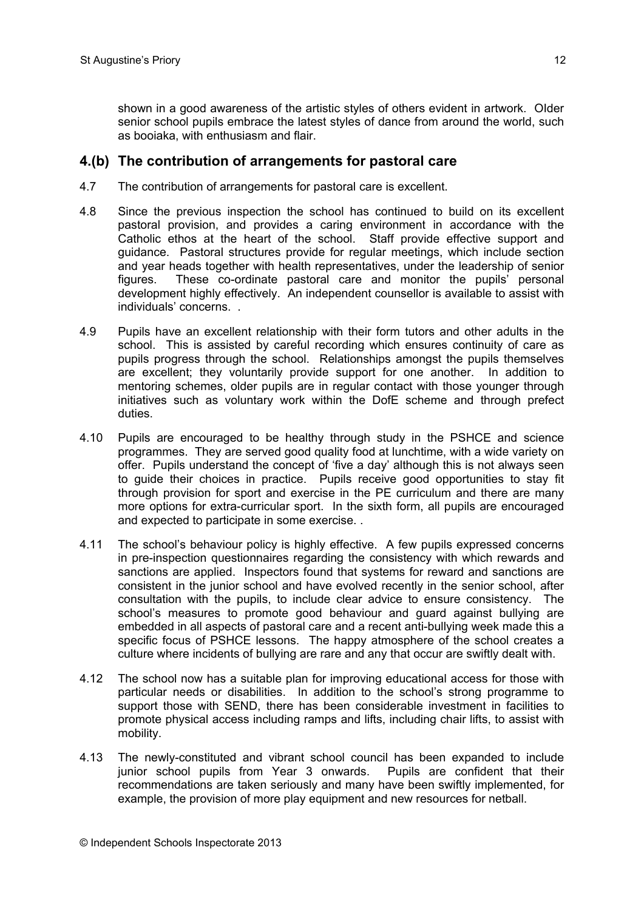shown in a good awareness of the artistic styles of others evident in artwork. OIder senior school pupils embrace the latest styles of dance from around the world, such as booiaka, with enthusiasm and flair.

#### **4.(b) The contribution of arrangements for pastoral care**

- 4.7 The contribution of arrangements for pastoral care is excellent.
- 4.8 Since the previous inspection the school has continued to build on its excellent pastoral provision, and provides a caring environment in accordance with the Catholic ethos at the heart of the school. Staff provide effective support and guidance. Pastoral structures provide for regular meetings, which include section and year heads together with health representatives, under the leadership of senior figures. These co-ordinate pastoral care and monitor the pupils' personal development highly effectively. An independent counsellor is available to assist with individuals' concerns. .
- 4.9 Pupils have an excellent relationship with their form tutors and other adults in the school. This is assisted by careful recording which ensures continuity of care as pupils progress through the school. Relationships amongst the pupils themselves are excellent; they voluntarily provide support for one another. In addition to mentoring schemes, older pupils are in regular contact with those younger through initiatives such as voluntary work within the DofE scheme and through prefect duties.
- 4.10 Pupils are encouraged to be healthy through study in the PSHCE and science programmes. They are served good quality food at lunchtime, with a wide variety on offer. Pupils understand the concept of 'five a day' although this is not always seen to guide their choices in practice. Pupils receive good opportunities to stay fit through provision for sport and exercise in the PE curriculum and there are many more options for extra-curricular sport. In the sixth form, all pupils are encouraged and expected to participate in some exercise. .
- 4.11 The school's behaviour policy is highly effective. A few pupils expressed concerns in pre-inspection questionnaires regarding the consistency with which rewards and sanctions are applied. Inspectors found that systems for reward and sanctions are consistent in the junior school and have evolved recently in the senior school, after consultation with the pupils, to include clear advice to ensure consistency. The school's measures to promote good behaviour and guard against bullying are embedded in all aspects of pastoral care and a recent anti-bullying week made this a specific focus of PSHCE lessons. The happy atmosphere of the school creates a culture where incidents of bullying are rare and any that occur are swiftly dealt with.
- 4.12 The school now has a suitable plan for improving educational access for those with particular needs or disabilities. In addition to the school's strong programme to support those with SEND, there has been considerable investment in facilities to promote physical access including ramps and lifts, including chair lifts, to assist with mobility.
- 4.13 The newly-constituted and vibrant school council has been expanded to include junior school pupils from Year 3 onwards. Pupils are confident that their recommendations are taken seriously and many have been swiftly implemented, for example, the provision of more play equipment and new resources for netball.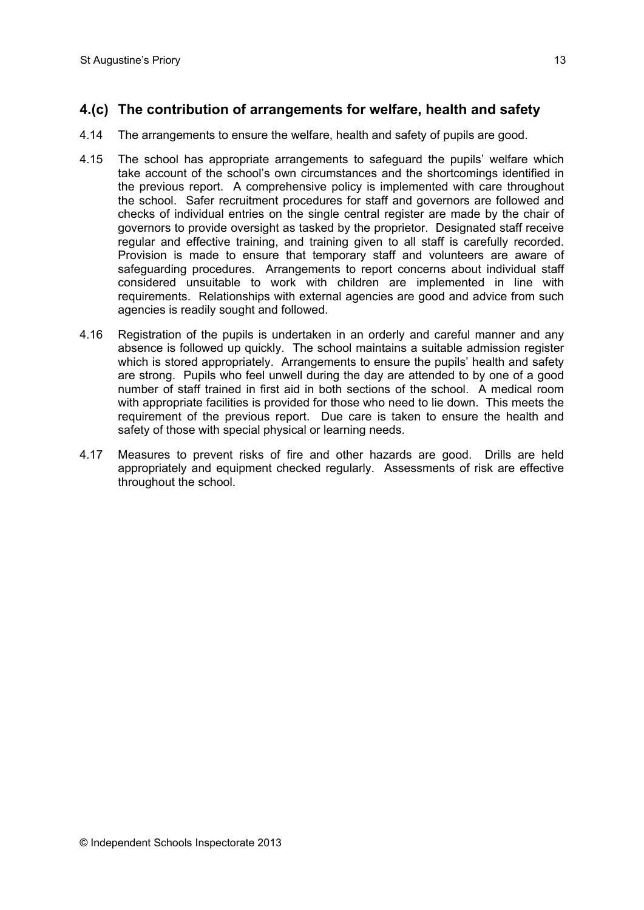# **4.(c) The contribution of arrangements for welfare, health and safety**

- 4.14 The arrangements to ensure the welfare, health and safety of pupils are good.
- 4.15 The school has appropriate arrangements to safeguard the pupils' welfare which take account of the school's own circumstances and the shortcomings identified in the previous report. A comprehensive policy is implemented with care throughout the school. Safer recruitment procedures for staff and governors are followed and checks of individual entries on the single central register are made by the chair of governors to provide oversight as tasked by the proprietor. Designated staff receive regular and effective training, and training given to all staff is carefully recorded. Provision is made to ensure that temporary staff and volunteers are aware of safeguarding procedures. Arrangements to report concerns about individual staff considered unsuitable to work with children are implemented in line with requirements. Relationships with external agencies are good and advice from such agencies is readily sought and followed.
- 4.16 Registration of the pupils is undertaken in an orderly and careful manner and any absence is followed up quickly. The school maintains a suitable admission register which is stored appropriately. Arrangements to ensure the pupils' health and safety are strong. Pupils who feel unwell during the day are attended to by one of a good number of staff trained in first aid in both sections of the school. A medical room with appropriate facilities is provided for those who need to lie down. This meets the requirement of the previous report. Due care is taken to ensure the health and safety of those with special physical or learning needs.
- 4.17 Measures to prevent risks of fire and other hazards are good. Drills are held appropriately and equipment checked regularly. Assessments of risk are effective throughout the school.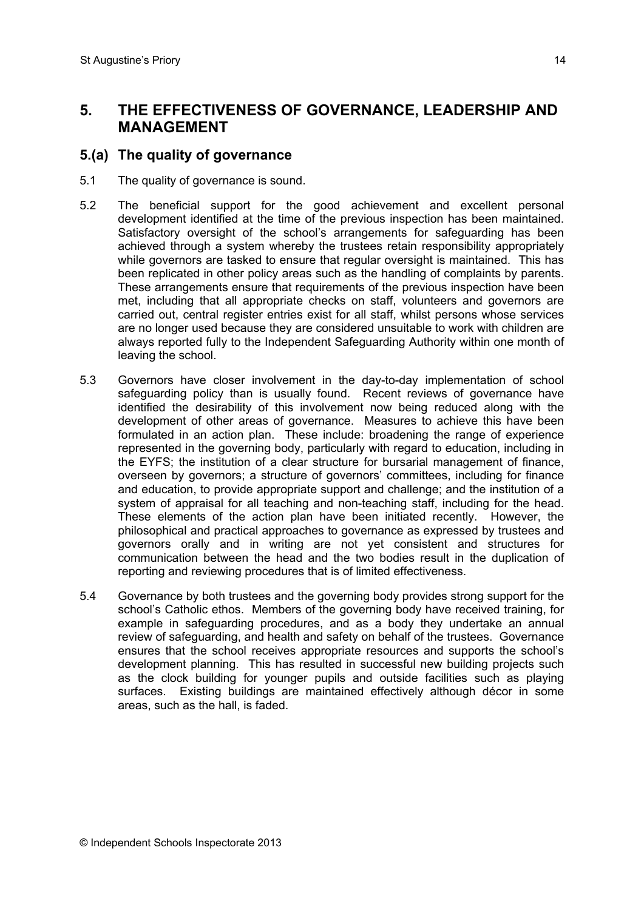## **5. THE EFFECTIVENESS OF GOVERNANCE, LEADERSHIP AND MANAGEMENT**

## **5.(a) The quality of governance**

- 5.1 The quality of governance is sound.
- 5.2 The beneficial support for the good achievement and excellent personal development identified at the time of the previous inspection has been maintained. Satisfactory oversight of the school's arrangements for safeguarding has been achieved through a system whereby the trustees retain responsibility appropriately while governors are tasked to ensure that regular oversight is maintained. This has been replicated in other policy areas such as the handling of complaints by parents. These arrangements ensure that requirements of the previous inspection have been met, including that all appropriate checks on staff, volunteers and governors are carried out, central register entries exist for all staff, whilst persons whose services are no longer used because they are considered unsuitable to work with children are always reported fully to the Independent Safeguarding Authority within one month of leaving the school.
- 5.3 Governors have closer involvement in the day-to-day implementation of school safeguarding policy than is usually found. Recent reviews of governance have identified the desirability of this involvement now being reduced along with the development of other areas of governance. Measures to achieve this have been formulated in an action plan. These include: broadening the range of experience represented in the governing body, particularly with regard to education, including in the EYFS; the institution of a clear structure for bursarial management of finance, overseen by governors; a structure of governors' committees, including for finance and education, to provide appropriate support and challenge; and the institution of a system of appraisal for all teaching and non-teaching staff, including for the head. These elements of the action plan have been initiated recently. However, the philosophical and practical approaches to governance as expressed by trustees and governors orally and in writing are not yet consistent and structures for communication between the head and the two bodies result in the duplication of reporting and reviewing procedures that is of limited effectiveness.
- 5.4 Governance by both trustees and the governing body provides strong support for the school's Catholic ethos. Members of the governing body have received training, for example in safeguarding procedures, and as a body they undertake an annual review of safeguarding, and health and safety on behalf of the trustees. Governance ensures that the school receives appropriate resources and supports the school's development planning. This has resulted in successful new building projects such as the clock building for younger pupils and outside facilities such as playing surfaces. Existing buildings are maintained effectively although décor in some areas, such as the hall, is faded.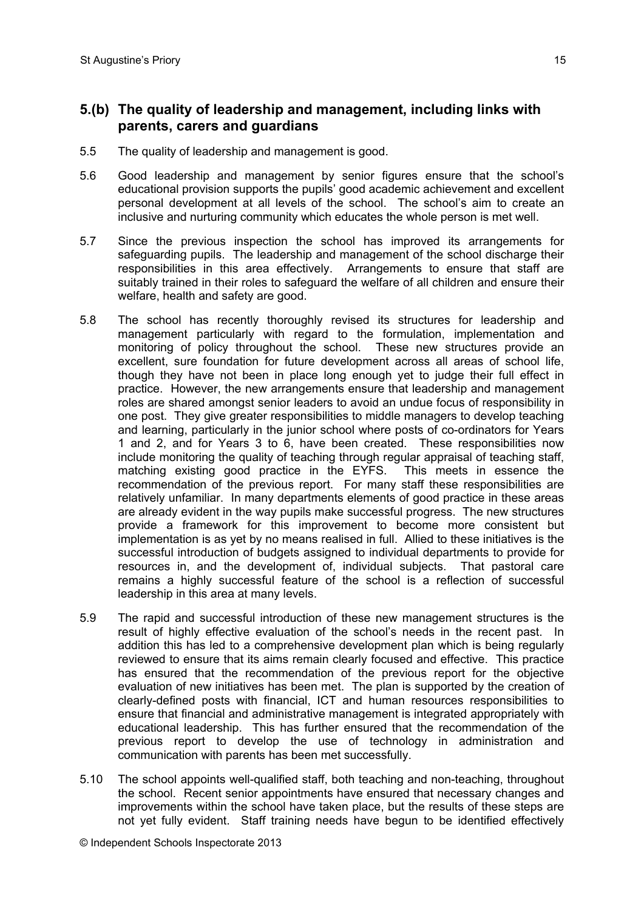## **5.(b) The quality of leadership and management, including links with parents, carers and guardians**

- 5.5 The quality of leadership and management is good.
- 5.6 Good leadership and management by senior figures ensure that the school's educational provision supports the pupils' good academic achievement and excellent personal development at all levels of the school. The school's aim to create an inclusive and nurturing community which educates the whole person is met well.
- 5.7 Since the previous inspection the school has improved its arrangements for safeguarding pupils. The leadership and management of the school discharge their responsibilities in this area effectively. Arrangements to ensure that staff are suitably trained in their roles to safeguard the welfare of all children and ensure their welfare, health and safety are good.
- 5.8 The school has recently thoroughly revised its structures for leadership and management particularly with regard to the formulation, implementation and monitoring of policy throughout the school. These new structures provide an excellent, sure foundation for future development across all areas of school life, though they have not been in place long enough yet to judge their full effect in practice. However, the new arrangements ensure that leadership and management roles are shared amongst senior leaders to avoid an undue focus of responsibility in one post. They give greater responsibilities to middle managers to develop teaching and learning, particularly in the junior school where posts of co-ordinators for Years 1 and 2, and for Years 3 to 6, have been created. These responsibilities now include monitoring the quality of teaching through regular appraisal of teaching staff, matching existing good practice in the EYFS. This meets in essence the recommendation of the previous report. For many staff these responsibilities are relatively unfamiliar. In many departments elements of good practice in these areas are already evident in the way pupils make successful progress. The new structures provide a framework for this improvement to become more consistent but implementation is as yet by no means realised in full. Allied to these initiatives is the successful introduction of budgets assigned to individual departments to provide for resources in, and the development of, individual subjects. That pastoral care remains a highly successful feature of the school is a reflection of successful leadership in this area at many levels.
- 5.9 The rapid and successful introduction of these new management structures is the result of highly effective evaluation of the school's needs in the recent past. In addition this has led to a comprehensive development plan which is being regularly reviewed to ensure that its aims remain clearly focused and effective. This practice has ensured that the recommendation of the previous report for the objective evaluation of new initiatives has been met. The plan is supported by the creation of clearly-defined posts with financial, ICT and human resources responsibilities to ensure that financial and administrative management is integrated appropriately with educational leadership. This has further ensured that the recommendation of the previous report to develop the use of technology in administration and communication with parents has been met successfully.
- 5.10 The school appoints well-qualified staff, both teaching and non-teaching, throughout the school. Recent senior appointments have ensured that necessary changes and improvements within the school have taken place, but the results of these steps are not yet fully evident. Staff training needs have begun to be identified effectively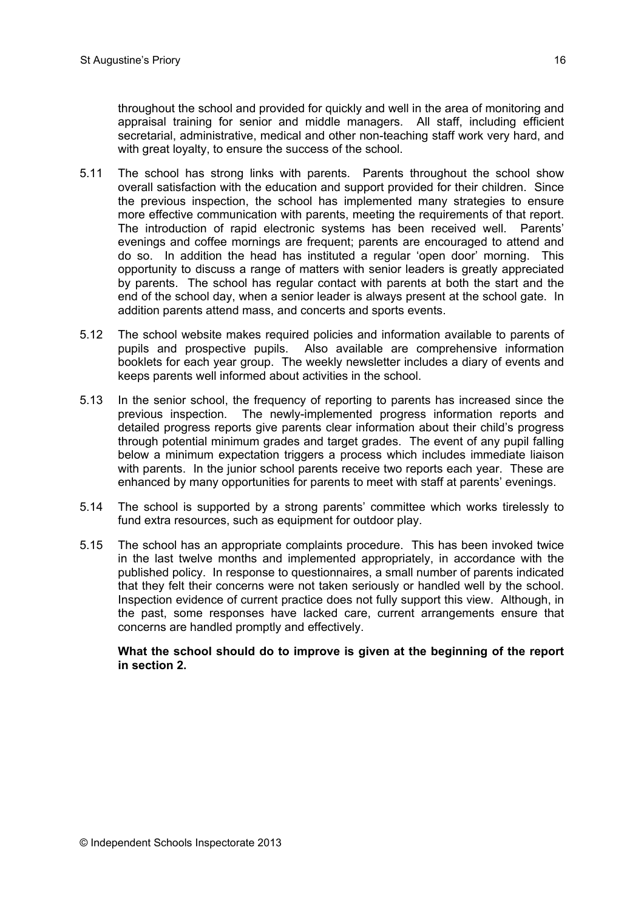throughout the school and provided for quickly and well in the area of monitoring and appraisal training for senior and middle managers. All staff, including efficient secretarial, administrative, medical and other non-teaching staff work very hard, and with great loyalty, to ensure the success of the school.

- 5.11 The school has strong links with parents. Parents throughout the school show overall satisfaction with the education and support provided for their children. Since the previous inspection, the school has implemented many strategies to ensure more effective communication with parents, meeting the requirements of that report. The introduction of rapid electronic systems has been received well. Parents' evenings and coffee mornings are frequent; parents are encouraged to attend and do so. In addition the head has instituted a regular 'open door' morning. This opportunity to discuss a range of matters with senior leaders is greatly appreciated by parents. The school has regular contact with parents at both the start and the end of the school day, when a senior leader is always present at the school gate. In addition parents attend mass, and concerts and sports events.
- 5.12 The school website makes required policies and information available to parents of pupils and prospective pupils. Also available are comprehensive information booklets for each year group. The weekly newsletter includes a diary of events and keeps parents well informed about activities in the school.
- 5.13 In the senior school, the frequency of reporting to parents has increased since the previous inspection. The newly-implemented progress information reports and detailed progress reports give parents clear information about their child's progress through potential minimum grades and target grades. The event of any pupil falling below a minimum expectation triggers a process which includes immediate liaison with parents. In the junior school parents receive two reports each year. These are enhanced by many opportunities for parents to meet with staff at parents' evenings.
- 5.14 The school is supported by a strong parents' committee which works tirelessly to fund extra resources, such as equipment for outdoor play.
- 5.15 The school has an appropriate complaints procedure. This has been invoked twice in the last twelve months and implemented appropriately, in accordance with the published policy. In response to questionnaires, a small number of parents indicated that they felt their concerns were not taken seriously or handled well by the school. Inspection evidence of current practice does not fully support this view. Although, in the past, some responses have lacked care, current arrangements ensure that concerns are handled promptly and effectively.

#### **What the school should do to improve is given at the beginning of the report in section 2.**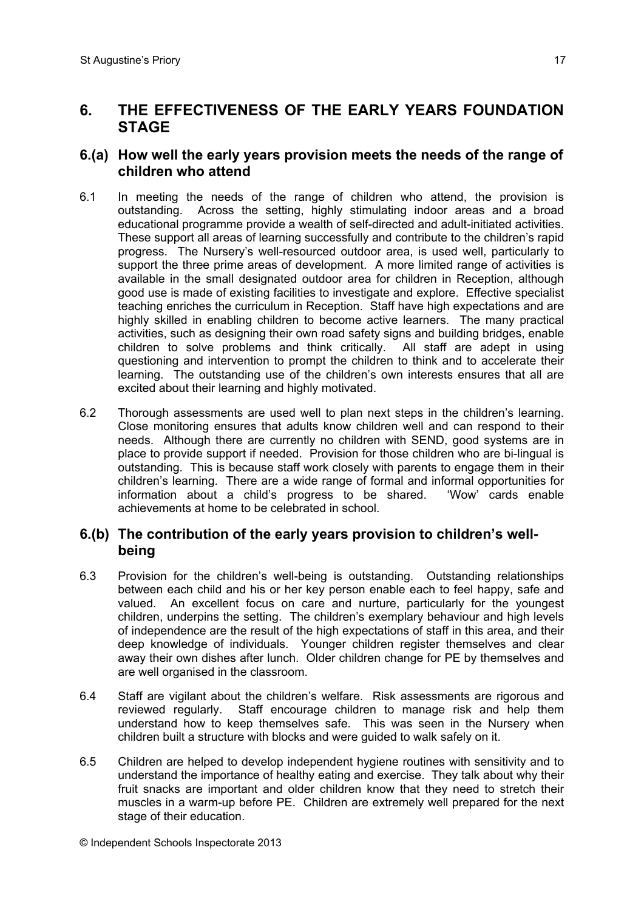# **6. THE EFFECTIVENESS OF THE EARLY YEARS FOUNDATION STAGE**

## **6.(a) How well the early years provision meets the needs of the range of children who attend**

- 6.1 In meeting the needs of the range of children who attend, the provision is outstanding. Across the setting, highly stimulating indoor areas and a broad educational programme provide a wealth of self-directed and adult-initiated activities. These support all areas of learning successfully and contribute to the children's rapid progress. The Nursery's well-resourced outdoor area, is used well, particularly to support the three prime areas of development. A more limited range of activities is available in the small designated outdoor area for children in Reception, although good use is made of existing facilities to investigate and explore. Effective specialist teaching enriches the curriculum in Reception. Staff have high expectations and are highly skilled in enabling children to become active learners. The many practical activities, such as designing their own road safety signs and building bridges, enable children to solve problems and think critically. All staff are adept in using questioning and intervention to prompt the children to think and to accelerate their learning. The outstanding use of the children's own interests ensures that all are excited about their learning and highly motivated.
- 6.2 Thorough assessments are used well to plan next steps in the children's learning. Close monitoring ensures that adults know children well and can respond to their needs. Although there are currently no children with SEND, good systems are in place to provide support if needed. Provision for those children who are bi-lingual is outstanding. This is because staff work closely with parents to engage them in their children's learning. There are a wide range of formal and informal opportunities for information about a child's progress to be shared. 'Wow' cards enable achievements at home to be celebrated in school.

## **6.(b) The contribution of the early years provision to children's wellbeing**

- 6.3 Provision for the children's well-being is outstanding. Outstanding relationships between each child and his or her key person enable each to feel happy, safe and valued. An excellent focus on care and nurture, particularly for the youngest children, underpins the setting. The children's exemplary behaviour and high levels of independence are the result of the high expectations of staff in this area, and their deep knowledge of individuals. Younger children register themselves and clear away their own dishes after lunch. Older children change for PE by themselves and are well organised in the classroom.
- 6.4 Staff are vigilant about the children's welfare. Risk assessments are rigorous and reviewed regularly. Staff encourage children to manage risk and help them understand how to keep themselves safe. This was seen in the Nursery when children built a structure with blocks and were guided to walk safely on it.
- 6.5 Children are helped to develop independent hygiene routines with sensitivity and to understand the importance of healthy eating and exercise. They talk about why their fruit snacks are important and older children know that they need to stretch their muscles in a warm-up before PE. Children are extremely well prepared for the next stage of their education.